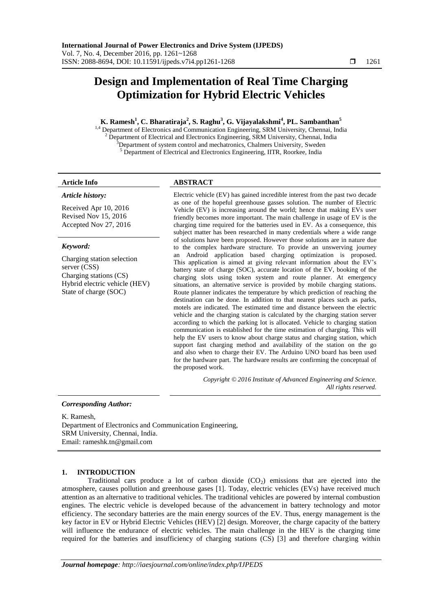# **Design and Implementation of Real Time Charging Optimization for Hybrid Electric Vehicles**

# **K. Ramesh<sup>1</sup> , C. Bharatiraja<sup>2</sup> , S. Raghu<sup>3</sup> , G. Vijayalakshmi<sup>4</sup> , PL. Sambanthan 5**

<sup>1,4</sup> Department of Electronics and Communication Engineering, SRM University, Chennai, India <sup>2</sup> Department of Electrical and Electronics Engineering, SRM University, Chennai, India  $3D$ epartment of system control and mechatronics, Chalmers University, Sweden <sup>5</sup> Department of Electrical and Electronics Engineering, IITR, Roorkee, India

# *Article history:*

Received Apr 10, 2016 Revised Nov 15, 2016 Accepted Nov 27, 2016

# *Keyword:*

Charging station selection server (CSS) Charging stations (CS) Hybrid electric vehicle (HEV) State of charge (SOC)

# **Article Info ABSTRACT**

Electric vehicle (EV) has gained incredible interest from the past two decade as one of the hopeful greenhouse gasses solution. The number of Electric Vehicle (EV) is increasing around the world; hence that making EVs user friendly becomes more important. The main challenge in usage of EV is the charging time required for the batteries used in EV. As a consequence, this subject matter has been researched in many credentials where a wide range of solutions have been proposed. However those solutions are in nature due to the complex hardware structure. To provide an unswerving journey an Android application based charging optimization is proposed. This application is aimed at giving relevant information about the EV's battery state of charge (SOC), accurate location of the EV, booking of the charging slots using token system and route planner. At emergency situations, an alternative service is provided by mobile charging stations. Route planner indicates the temperature by which prediction of reaching the destination can be done. In addition to that nearest places such as parks, motels are indicated. The estimated time and distance between the electric vehicle and the charging station is calculated by the charging station server according to which the parking lot is allocated. Vehicle to charging station communication is established for the time estimation of charging. This will help the EV users to know about charge status and charging station, which support fast charging method and availability of the station on the go and also when to charge their EV. The Arduino UNO board has been used for the hardware part. The hardware results are confirming the conceptual of the proposed work.

> *Copyright © 2016 Institute of Advanced Engineering and Science. All rights reserved.*

# *Corresponding Author:*

K. Ramesh,

Department of Electronics and Communication Engineering, SRM University, Chennai, India. Email: rameshk.tn@gmail.com

# **1. INTRODUCTION**

Traditional cars produce a lot of carbon dioxide  $(CO<sub>2</sub>)$  emissions that are ejected into the atmosphere, causes pollution and greenhouse gases [1]. Today, electric vehicles (EVs) have received much attention as an alternative to traditional vehicles. The traditional vehicles are powered by internal combustion engines. The electric vehicle is developed because of the advancement in battery technology and motor efficiency. The secondary batteries are the main energy sources of the EV. Thus, energy management is the key factor in EV or Hybrid Electric Vehicles (HEV) [2] design. Moreover, the charge capacity of the battery will influence the endurance of electric vehicles. The main challenge in the HEV is the charging time required for the batteries and insufficiency of charging stations (CS) [3] and therefore charging within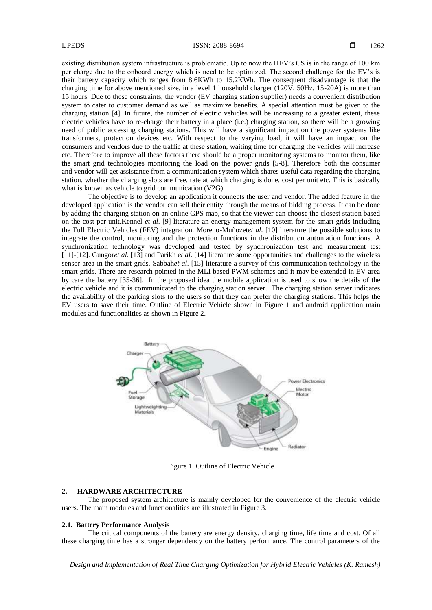existing distribution system infrastructure is problematic. Up to now the HEV's CS is in the range of 100 km per charge due to the onboard energy which is need to be optimized. The second challenge for the EV's is their battery capacity which ranges from 8.6KWh to 15.2KWh. The consequent disadvantage is that the charging time for above mentioned size, in a level 1 household charger (120V, 50Hz, 15-20A) is more than 15 hours. Due to these constraints, the vendor (EV charging station supplier) needs a convenient distribution system to cater to customer demand as well as maximize benefits. A special attention must be given to the charging station [4]. In future, the number of electric vehicles will be increasing to a greater extent, these electric vehicles have to re-charge their battery in a place (i.e.) charging station, so there will be a growing need of public accessing charging stations. This will have a significant impact on the power systems like transformers, protection devices etc. With respect to the varying load, it will have an impact on the consumers and vendors due to the traffic at these station, waiting time for charging the vehicles will increase etc. Therefore to improve all these factors there should be a proper monitoring systems to monitor them, like the smart grid technologies monitoring the load on the power grids [5-8]. Therefore both the consumer and vendor will get assistance from a communication system which shares useful data regarding the charging station, whether the charging slots are free, rate at which charging is done, cost per unit etc. This is basically what is known as vehicle to grid communication (V2G).

The objective is to develop an application it connects the user and vendor. The added feature in the developed application is the vendor can sell their entity through the means of bidding process. It can be done by adding the charging station on an online GPS map, so that the viewer can choose the closest station based on the cost per unit.Kennel *et al*. [9] literature an energy management system for the smart grids including the Full Electric Vehicles (FEV) integration. Moreno-Muñozet*et al*. [10] literature the possible solutions to integrate the control, monitoring and the protection functions in the distribution automation functions. A synchronization technology was developed and tested by synchronization test and measurement test [11]-[12]. Gungor*et al*. [13] and Parikh *et al*. [14] literature some opportunities and challenges to the wireless sensor area in the smart grids. Sabbah*et al*. [15] literature a survey of this communication technology in the smart grids. There are research pointed in the MLI based PWM schemes and it may be extended in EV area by care the battery [35-36]. In the proposed idea the mobile application is used to show the details of the electric vehicle and it is communicated to the charging station server. The charging station server indicates the availability of the parking slots to the users so that they can prefer the charging stations. This helps the EV users to save their time. Outline of Electric Vehicle shown in Figure 1 and android application main modules and functionalities as shown in Figure 2.



Figure 1. Outline of Electric Vehicle

### **2. HARDWARE ARCHITECTURE**

The proposed system architecture is mainly developed for the convenience of the electric vehicle users. The main modules and functionalities are illustrated in Figure 3.

#### **2.1. Battery Performance Analysis**

The critical components of the battery are energy density, charging time, life time and cost. Of all these charging time has a stronger dependency on the battery performance. The control parameters of the

*Design and Implementation of Real Time Charging Optimization for Hybrid Electric Vehicles (K. Ramesh)*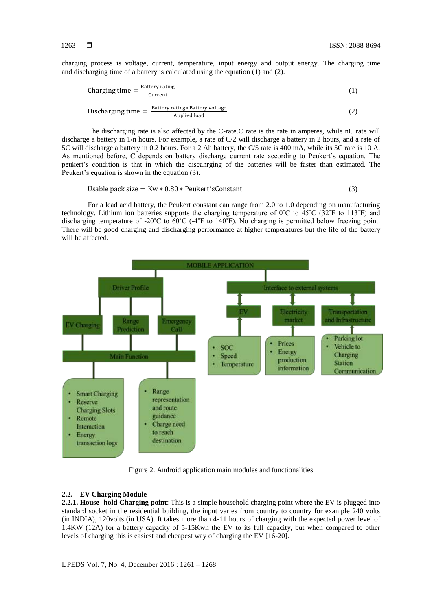charging process is voltage, current, temperature, input energy and output energy. The charging time and discharging time of a battery is calculated using the equation (1) and (2).

$$
Changing time = \frac{Battery rating}{Current}
$$
 (1)

Discharging time  $=$   $\frac{B}{A}$ Applied load (2)

The discharging rate is also affected by the C-rate.C rate is the rate in amperes, while nC rate will discharge a battery in 1/n hours. For example, a rate of C/2 will discharge a battery in 2 hours, and a rate of 5C will discharge a battery in 0.2 hours. For a 2 Ah battery, the C/5 rate is 400 mA, while its 5C rate is 10 A. As mentioned before, C depends on battery discharge current rate according to Peukert's equation. The peukert's condition is that in which the discahrging of the batteries will be faster than estimated. The Peukert's equation is shown in the equation (3).

Usable pack size =  $Kw * 0.80 * Peukert'sConstant$  (3)

For a lead acid battery, the Peukert constant can range from 2.0 to 1.0 depending on manufacturing technology. Lithium ion batteries supports the charging temperature of 0˚C to 45˚C (32˚F to 113˚F) and discharging temperature of -20˚C to 60˚C (-4˚F to 140˚F). No charging is permitted below freezing point. There will be good charging and discharging performance at higher temperatures but the life of the battery will be affected.



Figure 2. Android application main modules and functionalities

# **2.2. EV Charging Module**

**2.2.1. House- hold Charging point**: This is a simple household charging point where the EV is plugged into standard socket in the residential building, the input varies from country to country for example 240 volts (in INDIA), 120volts (in USA). It takes more than 4-11 hours of charging with the expected power level of 1.4KW (12A) for a battery capacity of 5-15Kwh the EV to its full capacity, but when compared to other levels of charging this is easiest and cheapest way of charging the EV [16-20].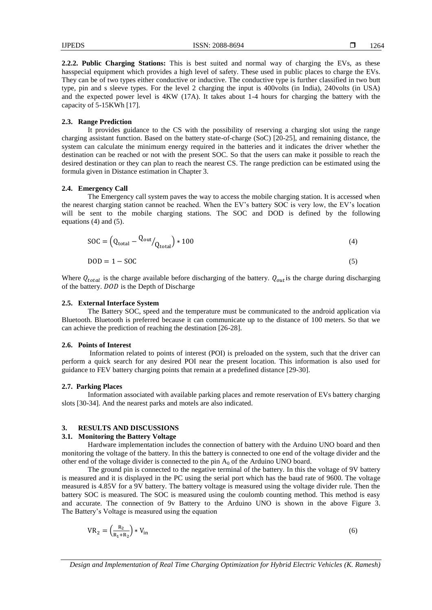1264

**2.2.2. Public Charging Stations:** This is best suited and normal way of charging the EVs, as these hasspecial equipment which provides a high level of safety. These used in public places to charge the EVs. They can be of two types either conductive or inductive. The conductive type is further classified in two butt type, pin and s sleeve types. For the level 2 charging the input is 400volts (in India), 240volts (in USA) and the expected power level is 4KW (17A). It takes about 1-4 hours for charging the battery with the capacity of 5-15KWh [17].

# **2.3. Range Prediction**

It provides guidance to the CS with the possibility of reserving a charging slot using the range charging assistant function. Based on the battery state-of-charge (SoC) [20-25], and remaining distance, the system can calculate the minimum energy required in the batteries and it indicates the driver whether the destination can be reached or not with the present SOC. So that the users can make it possible to reach the desired destination or they can plan to reach the nearest CS. The range prediction can be estimated using the formula given in Distance estimation in Chapter 3.

#### **2.4. Emergency Call**

The Emergency call system paves the way to access the mobile charging station. It is accessed when the nearest charging station cannot be reached. When the EV's battery SOC is very low, the EV's location will be sent to the mobile charging stations. The SOC and DOD is defined by the following equations (4) and (5).

$$
SOC = \left(Q_{\text{total}} - Q_{\text{out}}\right)_{\text{total}} * 100\tag{4}
$$

$$
DOD = 1 - SOC \tag{5}
$$

Where  $Q_{total}$  is the charge available before discharging of the battery.  $Q_{out}$  is the charge during discharging of the battery. DOD is the Depth of Discharge

#### **2.5. External Interface System**

The Battery SOC, speed and the temperature must be communicated to the android application via Bluetooth. Bluetooth is preferred because it can communicate up to the distance of 100 meters. So that we can achieve the prediction of reaching the destination [26-28].

### **2.6. Points of Interest**

Information related to points of interest (POI) is preloaded on the system, such that the driver can perform a quick search for any desired POI near the present location. This information is also used for guidance to FEV battery charging points that remain at a predefined distance [29-30].

#### **2.7. Parking Places**

Information associated with available parking places and remote reservation of EVs battery charging slots [30-34]. And the nearest parks and motels are also indicated.

#### **3. RESULTS AND DISCUSSIONS**

#### **3.1. Monitoring the Battery Voltage**

Hardware implementation includes the connection of battery with the Arduino UNO board and then monitoring the voltage of the battery. In this the battery is connected to one end of the voltage divider and the other end of the voltage divider is connected to the pin  $A_0$  of the Arduino UNO board.

The ground pin is connected to the negative terminal of the battery. In this the voltage of 9V battery is measured and it is displayed in the PC using the serial port which has the baud rate of 9600. The voltage measured is 4.85V for a 9V battery. The battery voltage is measured using the voltage divider rule. Then the battery SOC is measured. The SOC is measured using the coulomb counting method. This method is easy and accurate. The connection of 9v Battery to the Arduino UNO is shown in the above Figure 3. The Battery's Voltage is measured using the equation

$$
VR_2 = \left(\frac{R_2}{R_1 + R_2}\right) * V_{in} \tag{6}
$$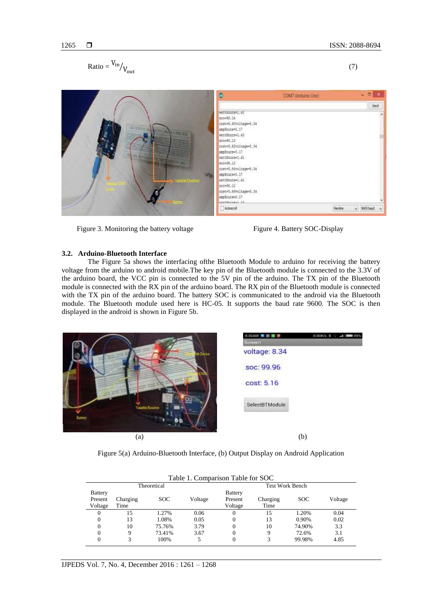$$
Ratio = \frac{V_{in}}{V_{out}} \tag{7}
$$



Figure 3. Monitoring the battery voltage Figure 4. Battery SOC-Display



# **3.2. Arduino-Bluetooth Interface**

The Figure 5a shows the interfacing ofthe Bluetooth Module to arduino for receiving the battery voltage from the arduino to android mobile.The key pin of the Bluetooth module is connected to the 3.3V of the arduino board, the VCC pin is connected to the 5V pin of the arduino. The TX pin of the Bluetooth module is connected with the RX pin of the arduino board. The RX pin of the Bluetooth module is connected with the TX pin of the arduino board. The battery SOC is communicated to the android via the Bluetooth module. The Bluetooth module used here is HC-05. It supports the baud rate 9600. The SOC is then displayed in the android is shown in Figure 5b.



Figure 5(a) Arduino-Bluetooth Interface, (b) Output Display on Android Application

| Table 1. Comparison Table for SOC |             |        |         |                |                        |            |         |  |
|-----------------------------------|-------------|--------|---------|----------------|------------------------|------------|---------|--|
|                                   | Theoretical |        |         |                | <b>Test Work Bench</b> |            |         |  |
| <b>Battery</b>                    |             |        |         | <b>Battery</b> |                        |            |         |  |
| Present                           | Charging    | SOC.   | Voltage | Present        | Charging               | <b>SOC</b> | Voltage |  |
| Voltage                           | Time        |        |         | Voltage        | Time                   |            |         |  |
| $\Omega$                          | 15          | 1.27%  | 0.06    |                | 15                     | 1.20%      | 0.04    |  |
| $\Omega$                          | 13          | 1.08%  | 0.05    | 0              | 13                     | 0.90%      | 0.02    |  |
| 0                                 | 10          | 75.76% | 3.79    |                | 10                     | 74.90%     | 3.3     |  |
| 0                                 | 9           | 73.41% | 3.67    | 0              | 9                      | 72.6%      | 3.1     |  |
|                                   |             | 100%   |         |                | 3                      | 99.98%     | 4.85    |  |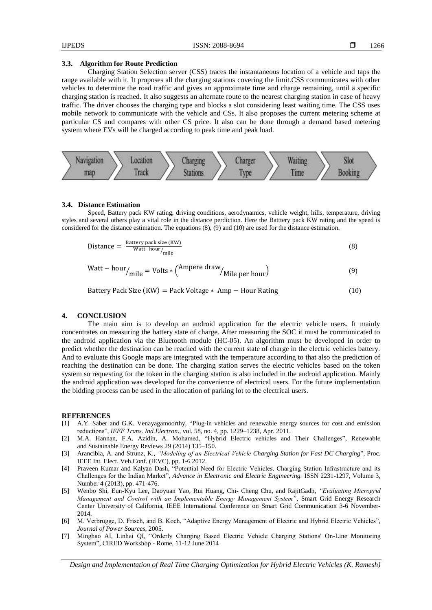#### **3.3. Algorithm for Route Prediction**

Charging Station Selection server (CSS) traces the instantaneous location of a vehicle and taps the range available with it. It proposes all the charging stations covering the limit.CSS communicates with other vehicles to determine the road traffic and gives an approximate time and charge remaining, until a specific charging station is reached. It also suggests an alternate route to the nearest charging station in case of heavy traffic. The driver chooses the charging type and blocks a slot considering least waiting time. The CSS uses mobile network to communicate with the vehicle and CSs. It also proposes the current metering scheme at particular CS and compares with other CS price. It also can be done through a demand based metering system where EVs will be charged according to peak time and peak load.



#### **3.4. Distance Estimation**

Speed, Battery pack KW rating, driving conditions, aerodynamics, vehicle weight, hills, temperature, driving styles and several others play a vital role in the distance perdiction. Here the Batttery pack KW rating and the speed is considered for the distance estimation. The equations (8), (9) and (10) are used for the distance estimation.

$$
Distance = \frac{Battery \, pack \, size \, (KW)}{Watt-hour/_{mile}} \tag{8}
$$

$$
Watt - hour/ mile = Volts * (Ampere draw/ Mile per hour)
$$
 (9)

$$
Battery Pack Size (KW) = Pack Voltage * Amp - Hour Rating
$$
\n(10)

### **4. CONCLUSION**

The main aim is to develop an android application for the electric vehicle users. It mainly concentrates on measuring the battery state of charge. After measuring the SOC it must be communicated to the android application via the Bluetooth module (HC-05). An algorithm must be developed in order to predict whether the destination can be reached with the current state of charge in the electric vehicles battery. And to evaluate this Google maps are integrated with the temperature according to that also the prediction of reaching the destination can be done. The charging station serves the electric vehicles based on the token system so requesting for the token in the charging station is also included in the android application. Mainly the android application was developed for the convenience of electrical users. For the future implementation the bidding process can be used in the allocation of parking lot to the electrical users.

#### **REFERENCES**

- [1] A.Y. Saber and G.K. Venayagamoorthy, "Plug-in vehicles and renewable energy sources for cost and emission reductions‖, *IEEE Trans. Ind.Electron*., vol. 58, no. 4, pp. 1229–1238, Apr. 2011.
- M.A. Hannan, F.A. Azidin, A. Mohamed, "Hybrid Electric vehicles and Their Challenges", Renewable and Sustainable Energy Reviews 29 (2014) 135–150.
- [3] Arancibia, A. and Strunz, K., *"Modeling of an Electrical Vehicle Charging Station for Fast DC Charging*‖, Proc. IEEE Int. Elect. Veh.Conf. (IEVC), pp. 1-6 2012.
- [4] Praveen Kumar and Kalyan Dash, "Potential Need for Electric Vehicles, Charging Station Infrastructure and its Challenges for the Indian Market", *Advance in Electronic and Electric Engineering*. ISSN 2231-1297, Volume 3, Number 4 (2013), pp. 471-476.
- [5] Wenbo Shi, Eun-Kyu Lee, Daoyuan Yao, Rui Huang, Chi- Cheng Chu, and RajitGadh, *"Evaluating Microgrid Management and Control with an Implementable Energy Management System",* Smart Grid Energy Research Center University of California, IEEE International Conference on Smart Grid Communication 3-6 November-2014.
- [6] M. Verbrugge, D. Frisch, and B. Koch, "Adaptive Energy Management of Electric and Hybrid Electric Vehicles", *Journal of Power Sources*, 2005.
- [7] Minghao AI, Linhai QI, "Orderly Charging Based Electric Vehicle Charging Stations' On-Line Monitoring System‖, CIRED Workshop - Rome, 11-12 June 2014

*Design and Implementation of Real Time Charging Optimization for Hybrid Electric Vehicles (K. Ramesh)*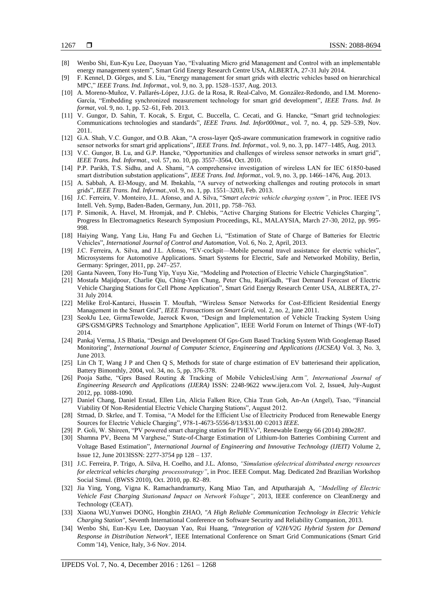- [8] Wenbo Shi, Eun-Kyu Lee, Daoyuan Yao, "Evaluating Micro grid Management and Control with an implementable energy management system", Smart Grid Energy Research Centre USA, ALBERTA, 27-31 July 2014.
- [9] F. Kennel, D. Görges, and S. Liu, "Energy management for smart grids with electric vehicles based on hierarchical MPC,‖ *IEEE Trans. Ind. Informat*., vol. 9, no. 3, pp. 1528–1537, Aug. 2013.
- [10] A. Moreno-Muñoz, V. Pallarés-López, J.J.G. de la Rosa, R. Real-Calvo, M. González-Redondo, and I.M. Moreno-García, "Embedding synchronized measurement technology for smart grid development", *IEEE Trans. Ind. In format,* vol. 9, no. 1, pp. 52–61, Feb. 2013.
- [11] V. Gungor, D. Sahin, T. Kocak, S. Ergut, C. Buccella, C. Cecati, and G. Hancke, "Smart grid technologies: Communications technologies and standards‖, *IEEE Trans. Ind. Infor000mat*., vol. 7, no. 4, pp. 529–539, Nov. 2011.
- [12] G.A. Shah, V.C. Gungor, and O.B. Akan, "A cross-layer QoS-aware communication framework in cognitive radio sensor networks for smart grid applications", *IEEE Trans. Ind. Informat.*, vol. 9, no. 3, pp. 1477–1485, Aug. 2013.
- [13] V.C. Gungor, B. Lu, and G.P. Hancke, "Opportunities and challenges of wireless sensor networks in smart grid", *IEEE Trans. Ind. Informat.,* vol. 57, no. 10, pp. 3557–3564, Oct. 2010.
- [14] P.P. Parikh, T.S. Sidhu, and A. Shami, "A comprehensive investigation of wireless LAN for IEC 61850-based smart distribution substation applications", *IEEE Trans. Ind. Informat.*, vol. 9, no. 3, pp. 1466-1476, Aug. 2013.
- [15] A. Sabbah, A. El-Mougy, and M. Ibnkahla, "A survey of networking challenges and routing protocols in smart grids‖, *IEEE Trans. Ind. Informat.,*vol. 9, no. 1, pp. 1551–3203, Feb. 2013.
- [16] J.C. Ferreira, V. Monteiro, J.L. Afonso, and A. Silva, "Smart electric vehicle charging system", in Proc. IEEE IVS Intell. Veh. Symp, Baden-Baden, Germany, Jun. 2011, pp. 758–763.
- [17] P. Simonik, A. Havel, M. Hromjak, and P. Chlebis, "Active Charging Stations for Electric Vehicles Charging", Progress In Electromagnetics Research Symposium Proceedings, KL, MALAYSIA, March 27-30, 2012, pp. 995- 998.
- [18] Haiying Wang, Yang Liu, Hang Fu and Gechen Li, "Estimation of State of Charge of Batteries for Electric Vehicles", *International Journal of Control and Automation*, Vol. 6, No. 2, April, 2013.
- [19] J.C. Ferreira, A. Silva, and J.L. Afonso, "EV-cockpit—Mobile personal travel assistance for electric vehicles", Microsystems for Automotive Applications. Smart Systems for Electric, Safe and Networked Mobility, Berlin, Germany: Springer, 2011, pp. 247–257.
- [20] Ganta Naveen, Tony Ho-Tung Yip, Yuyu Xie, "Modeling and Protection of Electric Vehicle ChargingStation".
- [21] Mostafa Majidpour, Charlie Qiu, Ching-Yen Chung, Peter Chu, RajitGadh, "Fast Demand Forecast of Electric Vehicle Charging Stations for Cell Phone Application‖, Smart Grid Energy Research Center USA, ALBERTA, 27- 31 July 2014.
- [22] Melike Erol-Kantarci, Hussein T. Mouftah, "Wireless Sensor Networks for Cost-Efficient Residential Energy Management in the Smart Grid", *IEEE Transactions on Smart Grid*, vol. 2, no. 2, june 2011.
- [23] SeokJu Lee, GirmaTewolde, Jaerock Kwon, "Design and Implementation of Vehicle Tracking System Using GPS/GSM/GPRS Technology and Smartphone Application", IEEE World Forum on Internet of Things (WF-IoT) 2014.
- [24] Pankaj Verma, J.S Bhatia, "Design and Development Of Gps-Gsm Based Tracking System With Googlemap Based Monitoring", *International Journal of Computer Science, Engineering and Applications (IJCSEA)* Vol. 3, No. 3, June 2013.
- [25] Lin Ch T, Wang J P and Chen Q S, Methods for state of charge estimation of EV batteriesand their application, Battery Bimonthly, 2004, vol. 34, no. 5, pp. 376-378.
- [26] Pooja Sathe, "Gprs Based Routing & Tracking of Mobile VehiclesUsing Arm", International Journal of *Engineering Research and Applications (IJERA)* ISSN: 2248-9622 www.ijera.com Vol. 2, Issue4, July-August 2012, pp. 1088-1090.
- [27] Daniel Chang, Daniel Erstad, Ellen Lin, Alicia Falken Rice, Chia Tzun Goh, An-An (Angel), Tsao, "Financial Viability Of Non-Residential Electric Vehicle Charging Stations‖, August 2012.
- [28] Strnad, D. Skrlee, and T. Tomisa, "A Model for the Efficient Use of Electricity Produced from Renewable Energy Sources for Electric Vehicle Charging", 978-1-4673-5556-8/13/\$31.00 ©2013 IEEE.
- [29] P. Goli, W. Shireen, "PV powered smart charging station for PHEVs", Renewable Energy 66 (2014) 280e287.
- [30] Shamna PV, Beena M Varghese," State-of-Charge Estimation of Lithium-Ion Batteries Combining Current and Voltage Based Estimation‖, *International Journal of Engineering and Innovative Technology (IJEIT)* Volume 2, Issue 12, June 2013ISSN: 2277-3754 pp 128 – 137.
- [31] J.C. Ferreira, P. Trigo, A. Silva, H. Coelho, and J.L. Afonso, *"Simulation ofelectrical distributed energy resources for electrical vehicles charging processstrategy"*, in Proc. IEEE Comput. Mag. Dedicated 2nd Brazilian Workshop Social Simul. (BWSS 2010), Oct. 2010, pp. 82–89.
- [32] Jia Ying, Yong, Vigna K. Ramachandramurty, Kang Miao Tan, and Atputharajah A, *"Modelling of Electric Vehicle Fast Charging Stationand Impact on Network Voltage"*, 2013, IEEE conference on CleanEnergy and Technology (CEAT).
- [33] Xiaona WU,Yunwei DONG, Hongbin ZHAO, *"A High Reliable Communication Technology in Electric Vehicle Charging Station",* Seventh International Conference on Software Security and Reliability Companion, 2013.
- [34] Wenbo Shi, Eun-Kyu Lee, Daoyuan Yao, Rui Huang, *"Integration of V2H/V2G Hybrid System for Demand Response in Distribution Network",* IEEE International Conference on Smart Grid Communications (Smart Grid Comm '14), Venice, Italy, 3-6 Nov. 2014.